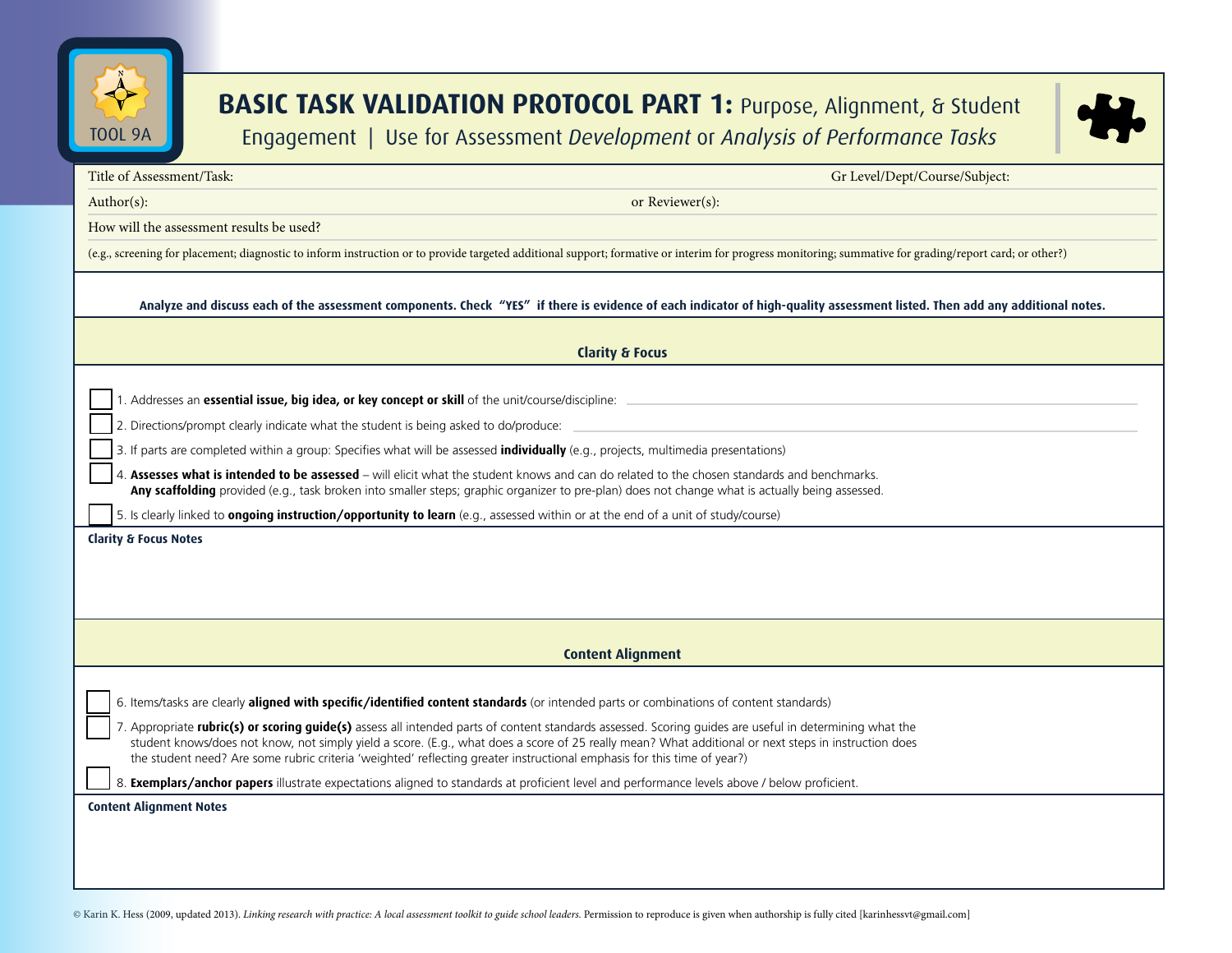

## **BASIC TASK VALIDATION PROTOCOL PART 1: Purpose, Alignment, & Student** Engagement | Use for Assessment *Development* or *Analysis of Performance Tasks*



| Title of Assessment/Task:                                                                                                                                                                                                                                                                                                                                                                                                                  | Gr Level/Dept/Course/Subject: |
|--------------------------------------------------------------------------------------------------------------------------------------------------------------------------------------------------------------------------------------------------------------------------------------------------------------------------------------------------------------------------------------------------------------------------------------------|-------------------------------|
| $Author(s)$ :                                                                                                                                                                                                                                                                                                                                                                                                                              | or Reviewer(s):               |
| How will the assessment results be used?                                                                                                                                                                                                                                                                                                                                                                                                   |                               |
| (e.g., screening for placement; diagnostic to inform instruction or to provide targeted additional support; formative or interim for progress monitoring; summative for grading/report card; or other?)                                                                                                                                                                                                                                    |                               |
|                                                                                                                                                                                                                                                                                                                                                                                                                                            |                               |
| Analyze and discuss each of the assessment components. Check "YES" if there is evidence of each indicator of high-quality assessment listed. Then add any additional notes.                                                                                                                                                                                                                                                                |                               |
| <b>Clarity &amp; Focus</b>                                                                                                                                                                                                                                                                                                                                                                                                                 |                               |
| 1. Addresses an essential issue, big idea, or key concept or skill of the unit/course/discipline: _                                                                                                                                                                                                                                                                                                                                        |                               |
| 2. Directions/prompt clearly indicate what the student is being asked to do/produce:                                                                                                                                                                                                                                                                                                                                                       |                               |
| 3. If parts are completed within a group: Specifies what will be assessed <i>individually</i> (e.g., projects, multimedia presentations)                                                                                                                                                                                                                                                                                                   |                               |
| Assesses what is intended to be assessed - will elicit what the student knows and can do related to the chosen standards and benchmarks.<br>Any scaffolding provided (e.g., task broken into smaller steps; graphic organizer to pre-plan) does not change what is actually being assessed.                                                                                                                                                |                               |
| 5. Is clearly linked to <b>ongoing instruction/opportunity to learn</b> (e.g., assessed within or at the end of a unit of study/course)                                                                                                                                                                                                                                                                                                    |                               |
| <b>Clarity &amp; Focus Notes</b>                                                                                                                                                                                                                                                                                                                                                                                                           |                               |
|                                                                                                                                                                                                                                                                                                                                                                                                                                            |                               |
|                                                                                                                                                                                                                                                                                                                                                                                                                                            |                               |
|                                                                                                                                                                                                                                                                                                                                                                                                                                            |                               |
|                                                                                                                                                                                                                                                                                                                                                                                                                                            |                               |
|                                                                                                                                                                                                                                                                                                                                                                                                                                            | <b>Content Alignment</b>      |
|                                                                                                                                                                                                                                                                                                                                                                                                                                            |                               |
| 6. Items/tasks are clearly aligned with specific/identified content standards (or intended parts or combinations of content standards)                                                                                                                                                                                                                                                                                                     |                               |
| 7. Appropriate rubric(s) or scoring guide(s) assess all intended parts of content standards assessed. Scoring guides are useful in determining what the<br>student knows/does not know, not simply yield a score. (E.g., what does a score of 25 really mean? What additional or next steps in instruction does<br>the student need? Are some rubric criteria 'weighted' reflecting greater instructional emphasis for this time of year?) |                               |
| 8. Exemplars/anchor papers illustrate expectations aligned to standards at proficient level and performance levels above / below proficient.                                                                                                                                                                                                                                                                                               |                               |
| <b>Content Alignment Notes</b>                                                                                                                                                                                                                                                                                                                                                                                                             |                               |
|                                                                                                                                                                                                                                                                                                                                                                                                                                            |                               |
|                                                                                                                                                                                                                                                                                                                                                                                                                                            |                               |
|                                                                                                                                                                                                                                                                                                                                                                                                                                            |                               |